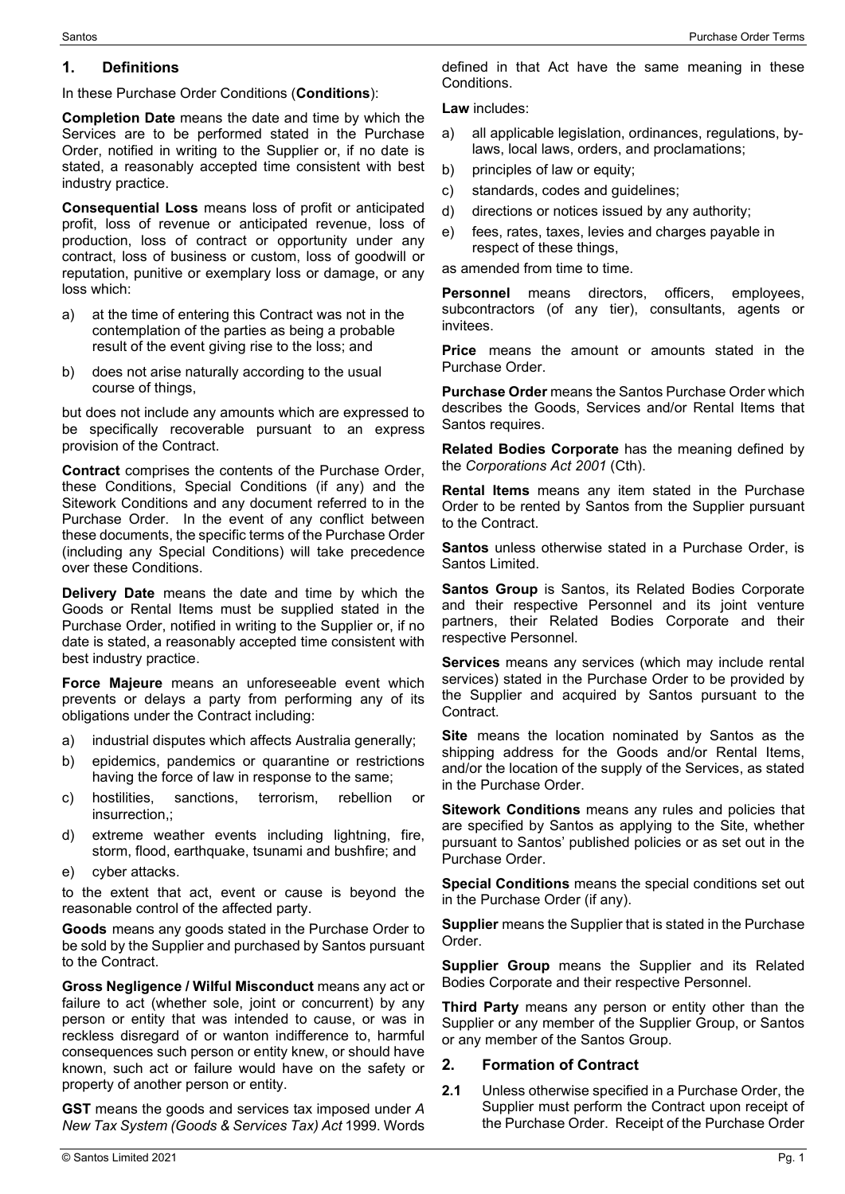#### **1. Definitions**

In these Purchase Order Conditions (**Conditions**):

**Completion Date** means the date and time by which the Services are to be performed stated in the Purchase Order, notified in writing to the Supplier or, if no date is stated, a reasonably accepted time consistent with best industry practice.

**Consequential Loss** means loss of profit or anticipated profit, loss of revenue or anticipated revenue, loss of production, loss of contract or opportunity under any contract, loss of business or custom, loss of goodwill or reputation, punitive or exemplary loss or damage, or any loss which:

- a) at the time of entering this Contract was not in the contemplation of the parties as being a probable result of the event giving rise to the loss; and
- b) does not arise naturally according to the usual course of things,

but does not include any amounts which are expressed to be specifically recoverable pursuant to an express provision of the Contract.

**Contract** comprises the contents of the Purchase Order, these Conditions, Special Conditions (if any) and the Sitework Conditions and any document referred to in the Purchase Order. In the event of any conflict between these documents, the specific terms of the Purchase Order (including any Special Conditions) will take precedence over these Conditions.

**Delivery Date** means the date and time by which the Goods or Rental Items must be supplied stated in the Purchase Order, notified in writing to the Supplier or, if no date is stated, a reasonably accepted time consistent with best industry practice.

**Force Majeure** means an unforeseeable event which prevents or delays a party from performing any of its obligations under the Contract including:

- a) industrial disputes which affects Australia generally;
- b) epidemics, pandemics or quarantine or restrictions having the force of law in response to the same;
- c) hostilities, sanctions, terrorism, rebellion or insurrection,;
- d) extreme weather events including lightning, fire, storm, flood, earthquake, tsunami and bushfire; and
- e) cyber attacks.

to the extent that act, event or cause is beyond the reasonable control of the affected party.

**Goods** means any goods stated in the Purchase Order to be sold by the Supplier and purchased by Santos pursuant to the Contract.

**Gross Negligence / Wilful Misconduct** means any act or failure to act (whether sole, joint or concurrent) by any person or entity that was intended to cause, or was in reckless disregard of or wanton indifference to, harmful consequences such person or entity knew, or should have known, such act or failure would have on the safety or property of another person or entity.

**GST** means the goods and services tax imposed under *A New Tax System (Goods & Services Tax) Act* 1999. Words defined in that Act have the same meaning in these Conditions.

**Law** includes:

- a) all applicable legislation, ordinances, regulations, bylaws, local laws, orders, and proclamations;
- b) principles of law or equity:
- c) standards, codes and guidelines;
- d) directions or notices issued by any authority;
- e) fees, rates, taxes, levies and charges payable in respect of these things,

as amended from time to time.

**Personnel** means directors, officers, employees, subcontractors (of any tier), consultants, agents or invitees.

**Price** means the amount or amounts stated in the Purchase Order.

**Purchase Order** means the Santos Purchase Order which describes the Goods, Services and/or Rental Items that Santos requires.

**Related Bodies Corporate** has the meaning defined by the *Corporations Act 2001* (Cth).

**Rental Items** means any item stated in the Purchase Order to be rented by Santos from the Supplier pursuant to the Contract.

**Santos** unless otherwise stated in a Purchase Order, is Santos Limited.

**Santos Group** is Santos, its Related Bodies Corporate and their respective Personnel and its joint venture partners, their Related Bodies Corporate and their respective Personnel.

**Services** means any services (which may include rental services) stated in the Purchase Order to be provided by the Supplier and acquired by Santos pursuant to the Contract.

**Site** means the location nominated by Santos as the shipping address for the Goods and/or Rental Items, and/or the location of the supply of the Services, as stated in the Purchase Order.

**Sitework Conditions** means any rules and policies that are specified by Santos as applying to the Site, whether pursuant to Santos' published policies or as set out in the Purchase Order.

**Special Conditions** means the special conditions set out in the Purchase Order (if any).

**Supplier** means the Supplier that is stated in the Purchase Order.

**Supplier Group** means the Supplier and its Related Bodies Corporate and their respective Personnel.

**Third Party** means any person or entity other than the Supplier or any member of the Supplier Group, or Santos or any member of the Santos Group.

### **2. Formation of Contract**

**2.1** Unless otherwise specified in a Purchase Order, the Supplier must perform the Contract upon receipt of the Purchase Order. Receipt of the Purchase Order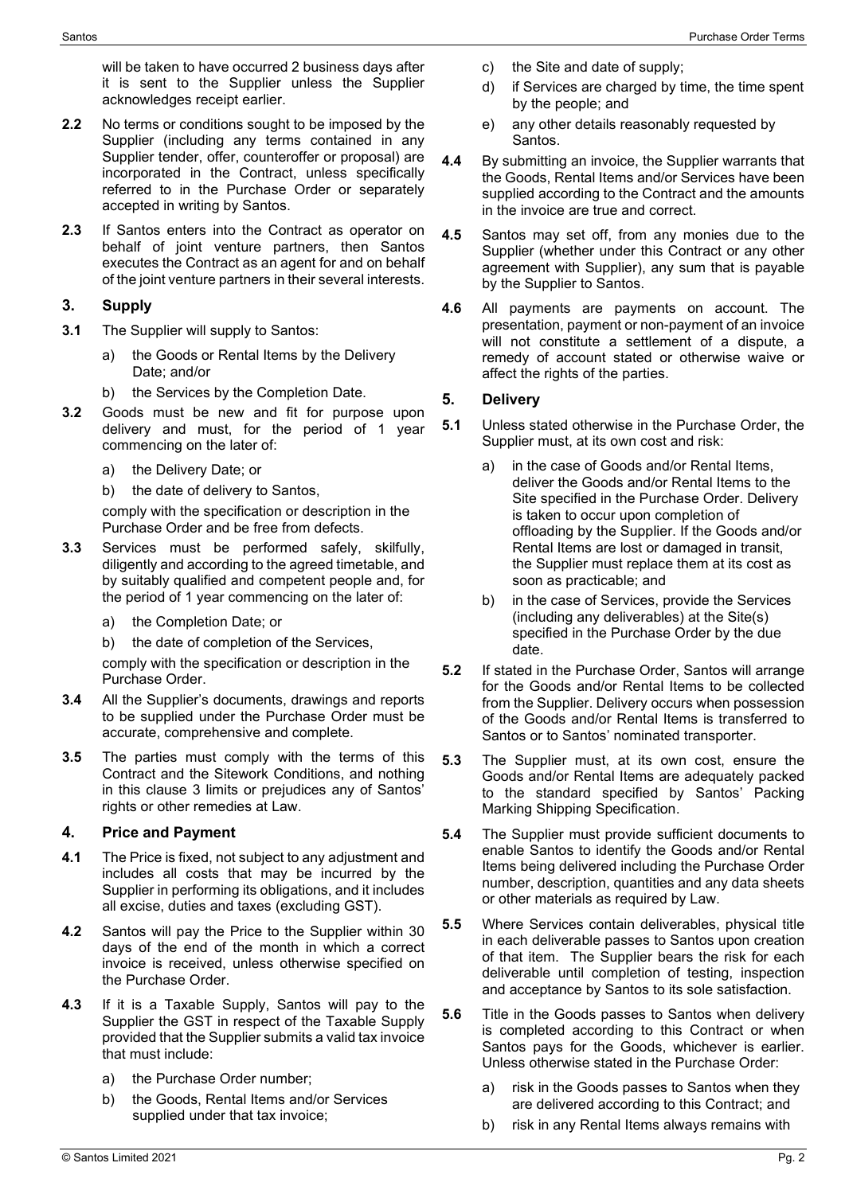will be taken to have occurred 2 business days after it is sent to the Supplier unless the Supplier acknowledges receipt earlier.

- **2.2** No terms or conditions sought to be imposed by the Supplier (including any terms contained in any Supplier tender, offer, counteroffer or proposal) are incorporated in the Contract, unless specifically referred to in the Purchase Order or separately accepted in writing by Santos.
- **2.3** If Santos enters into the Contract as operator on behalf of joint venture partners, then Santos executes the Contract as an agent for and on behalf of the joint venture partners in their several interests.

### <span id="page-1-0"></span>**3. Supply**

- **3.1** The Supplier will supply to Santos:
	- a) the Goods or Rental Items by the Delivery Date; and/or
	- b) the Services by the Completion Date.
- <span id="page-1-1"></span>**3.2** Goods must be new and fit for purpose upon delivery and must, for the period of 1 year commencing on the later of:
	- a) the Delivery Date; or
	- b) the date of delivery to Santos,

comply with the specification or description in the Purchase Order and be free from defects.

- <span id="page-1-2"></span>**3.3** Services must be performed safely, skilfully, diligently and according to the agreed timetable, and by suitably qualified and competent people and, for the period of 1 year commencing on the later of:
	- a) the Completion Date; or
	- b) the date of completion of the Services,

comply with the specification or description in the Purchase Order.

- **3.4** All the Supplier's documents, drawings and reports to be supplied under the Purchase Order must be accurate, comprehensive and complete.
- **3.5** The parties must comply with the terms of this Contract and the Sitework Conditions, and nothing in this clause [3](#page-1-0) limits or prejudices any of Santos' rights or other remedies at Law.

### **4. Price and Payment**

- **4.1** The Price is fixed, not subject to any adjustment and includes all costs that may be incurred by the Supplier in performing its obligations, and it includes all excise, duties and taxes (excluding GST).
- **4.2** Santos will pay the Price to the Supplier within 30 days of the end of the month in which a correct invoice is received, unless otherwise specified on the Purchase Order.
- **4.3** If it is a Taxable Supply, Santos will pay to the Supplier the GST in respect of the Taxable Supply provided that the Supplier submits a valid tax invoice that must include:
	- a) the Purchase Order number;
	- b) the Goods, Rental Items and/or Services supplied under that tax invoice;
- c) the Site and date of supply;
- d) if Services are charged by time, the time spent by the people; and
- e) any other details reasonably requested by Santos.
- **4.4** By submitting an invoice, the Supplier warrants that the Goods, Rental Items and/or Services have been supplied according to the Contract and the amounts in the invoice are true and correct.
- **4.5** Santos may set off, from any monies due to the Supplier (whether under this Contract or any other agreement with Supplier), any sum that is payable by the Supplier to Santos.
- **4.6** All payments are payments on account. The presentation, payment or non-payment of an invoice will not constitute a settlement of a dispute, a remedy of account stated or otherwise waive or affect the rights of the parties.

### **5. Delivery**

- **5.1** Unless stated otherwise in the Purchase Order, the Supplier must, at its own cost and risk:
	- a) in the case of Goods and/or Rental Items, deliver the Goods and/or Rental Items to the Site specified in the Purchase Order. Delivery is taken to occur upon completion of offloading by the Supplier. If the Goods and/or Rental Items are lost or damaged in transit, the Supplier must replace them at its cost as soon as practicable; and
	- b) in the case of Services, provide the Services (including any deliverables) at the Site(s) specified in the Purchase Order by the due date.
- **5.2** If stated in the Purchase Order, Santos will arrange for the Goods and/or Rental Items to be collected from the Supplier. Delivery occurs when possession of the Goods and/or Rental Items is transferred to Santos or to Santos' nominated transporter.
- **5.3** The Supplier must, at its own cost, ensure the Goods and/or Rental Items are adequately packed to the standard specified by Santos' Packing Marking Shipping Specification.
- **5.4** The Supplier must provide sufficient documents to enable Santos to identify the Goods and/or Rental Items being delivered including the Purchase Order number, description, quantities and any data sheets or other materials as required by Law.
- **5.5** Where Services contain deliverables, physical title in each deliverable passes to Santos upon creation of that item. The Supplier bears the risk for each deliverable until completion of testing, inspection and acceptance by Santos to its sole satisfaction.
- **5.6** Title in the Goods passes to Santos when delivery is completed according to this Contract or when Santos pays for the Goods, whichever is earlier. Unless otherwise stated in the Purchase Order:
	- a) risk in the Goods passes to Santos when they are delivered according to this Contract; and
	- b) risk in any Rental Items always remains with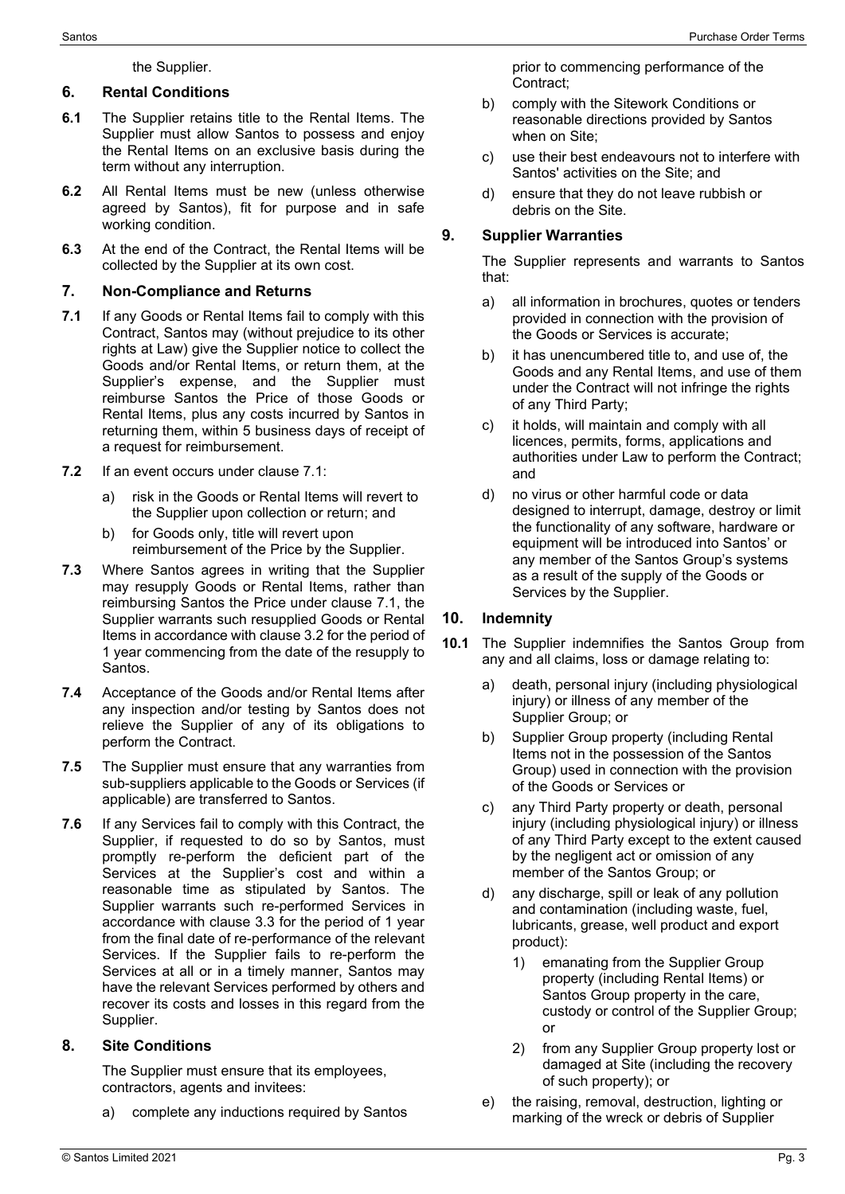### the Supplier.

## **6. Rental Conditions**

- **6.1** The Supplier retains title to the Rental Items. The Supplier must allow Santos to possess and enjoy the Rental Items on an exclusive basis during the term without any interruption.
- **6.2** All Rental Items must be new (unless otherwise agreed by Santos), fit for purpose and in safe working condition.
- **6.3** At the end of the Contract, the Rental Items will be collected by the Supplier at its own cost.

## **7. Non-Compliance and Returns**

- <span id="page-2-0"></span>**7.1** If any Goods or Rental Items fail to comply with this Contract, Santos may (without prejudice to its other rights at Law) give the Supplier notice to collect the Goods and/or Rental Items, or return them, at the Supplier's expense, and the Supplier must reimburse Santos the Price of those Goods or Rental Items, plus any costs incurred by Santos in returning them, within 5 business days of receipt of a request for reimbursement.
- **7.2** If an event occurs under clause [7.1:](#page-2-0)
	- a) risk in the Goods or Rental Items will revert to the Supplier upon collection or return; and
	- b) for Goods only, title will revert upon reimbursement of the Price by the Supplier.
- **7.3** Where Santos agrees in writing that the Supplier may resupply Goods or Rental Items, rather than reimbursing Santos the Price under clause [7.1,](#page-2-0) the Supplier warrants such resupplied Goods or Rental Items in accordance with clause [3.2](#page-1-1) for the period of 1 year commencing from the date of the resupply to Santos.
- **7.4** Acceptance of the Goods and/or Rental Items after any inspection and/or testing by Santos does not relieve the Supplier of any of its obligations to perform the Contract.
- **7.5** The Supplier must ensure that any warranties from sub-suppliers applicable to the Goods or Services (if applicable) are transferred to Santos.
- **7.6** If any Services fail to comply with this Contract, the Supplier, if requested to do so by Santos, must promptly re-perform the deficient part of the Services at the Supplier's cost and within a reasonable time as stipulated by Santos. The Supplier warrants such re-performed Services in accordance with clause [3.3](#page-1-2) for the period of 1 year from the final date of re-performance of the relevant Services. If the Supplier fails to re-perform the Services at all or in a timely manner, Santos may have the relevant Services performed by others and recover its costs and losses in this regard from the Supplier.

### **8. Site Conditions**

The Supplier must ensure that its employees, contractors, agents and invitees:

a) complete any inductions required by Santos

prior to commencing performance of the Contract;

- b) comply with the Sitework Conditions or reasonable directions provided by Santos when on Site;
- c) use their best endeavours not to interfere with Santos' activities on the Site; and
- d) ensure that they do not leave rubbish or debris on the Site.

## **9. Supplier Warranties**

The Supplier represents and warrants to Santos that:

- a) all information in brochures, quotes or tenders provided in connection with the provision of the Goods or Services is accurate;
- b) it has unencumbered title to, and use of, the Goods and any Rental Items, and use of them under the Contract will not infringe the rights of any Third Party;
- c) it holds, will maintain and comply with all licences, permits, forms, applications and authorities under Law to perform the Contract; and
- d) no virus or other harmful code or data designed to interrupt, damage, destroy or limit the functionality of any software, hardware or equipment will be introduced into Santos' or any member of the Santos Group's systems as a result of the supply of the Goods or Services by the Supplier.

# **10. Indemnity**

- **10.1** The Supplier indemnifies the Santos Group from any and all claims, loss or damage relating to:
	- a) death, personal injury (including physiological injury) or illness of any member of the Supplier Group; or
	- b) Supplier Group property (including Rental Items not in the possession of the Santos Group) used in connection with the provision of the Goods or Services or
	- c) any Third Party property or death, personal injury (including physiological injury) or illness of any Third Party except to the extent caused by the negligent act or omission of any member of the Santos Group; or
	- d) any discharge, spill or leak of any pollution and contamination (including waste, fuel, lubricants, grease, well product and export product):
		- 1) emanating from the Supplier Group property (including Rental Items) or Santos Group property in the care, custody or control of the Supplier Group; or
		- 2) from any Supplier Group property lost or damaged at Site (including the recovery of such property); or
	- e) the raising, removal, destruction, lighting or marking of the wreck or debris of Supplier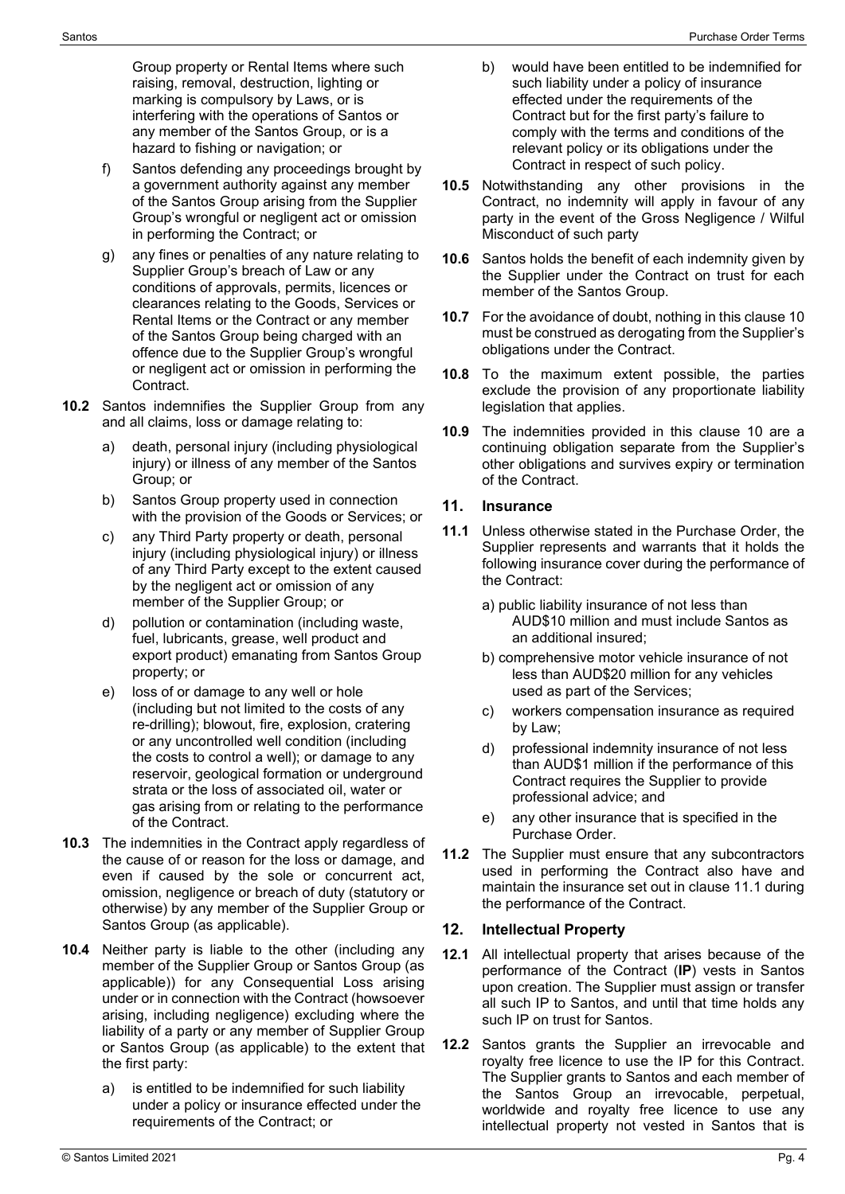Group property or Rental Items where such raising, removal, destruction, lighting or marking is compulsory by Laws, or is interfering with the operations of Santos or any member of the Santos Group, or is a hazard to fishing or navigation; or

- f) Santos defending any proceedings brought by a government authority against any member of the Santos Group arising from the Supplier Group's wrongful or negligent act or omission in performing the Contract; or
- g) any fines or penalties of any nature relating to Supplier Group's breach of Law or any conditions of approvals, permits, licences or clearances relating to the Goods, Services or Rental Items or the Contract or any member of the Santos Group being charged with an offence due to the Supplier Group's wrongful or negligent act or omission in performing the Contract.
- **10.2** Santos indemnifies the Supplier Group from any and all claims, loss or damage relating to:
	- a) death, personal injury (including physiological injury) or illness of any member of the Santos Group; or
	- b) Santos Group property used in connection with the provision of the Goods or Services; or
	- c) any Third Party property or death, personal injury (including physiological injury) or illness of any Third Party except to the extent caused by the negligent act or omission of any member of the Supplier Group; or
	- d) pollution or contamination (including waste, fuel, lubricants, grease, well product and export product) emanating from Santos Group property; or
	- e) loss of or damage to any well or hole (including but not limited to the costs of any re-drilling); blowout, fire, explosion, cratering or any uncontrolled well condition (including the costs to control a well); or damage to any reservoir, geological formation or underground strata or the loss of associated oil, water or gas arising from or relating to the performance of the Contract.
- **10.3** The indemnities in the Contract apply regardless of the cause of or reason for the loss or damage, and even if caused by the sole or concurrent act, omission, negligence or breach of duty (statutory or otherwise) by any member of the Supplier Group or Santos Group (as applicable).
- **10.4** Neither party is liable to the other (including any member of the Supplier Group or Santos Group (as applicable)) for any Consequential Loss arising under or in connection with the Contract (howsoever arising, including negligence) excluding where the liability of a party or any member of Supplier Group or Santos Group (as applicable) to the extent that the first party:
	- a) is entitled to be indemnified for such liability under a policy or insurance effected under the requirements of the Contract; or
- b) would have been entitled to be indemnified for such liability under a policy of insurance effected under the requirements of the Contract but for the first party's failure to comply with the terms and conditions of the relevant policy or its obligations under the Contract in respect of such policy.
- **10.5** Notwithstanding any other provisions in the Contract, no indemnity will apply in favour of any party in the event of the Gross Negligence / Wilful Misconduct of such party
- **10.6** Santos holds the benefit of each indemnity given by the Supplier under the Contract on trust for each member of the Santos Group.
- **10.7** For the avoidance of doubt, nothing in this clause 10 must be construed as derogating from the Supplier's obligations under the Contract.
- **10.8** To the maximum extent possible, the parties exclude the provision of any proportionate liability legislation that applies.
- **10.9** The indemnities provided in this clause 10 are a continuing obligation separate from the Supplier's other obligations and survives expiry or termination of the Contract.

### **11. Insurance**

- **11.1** Unless otherwise stated in the Purchase Order, the Supplier represents and warrants that it holds the following insurance cover during the performance of the Contract:
	- a) public liability insurance of not less than AUD\$10 million and must include Santos as an additional insured;
	- b) comprehensive motor vehicle insurance of not less than AUD\$20 million for any vehicles used as part of the Services;
	- c) workers compensation insurance as required by Law;
	- d) professional indemnity insurance of not less than AUD\$1 million if the performance of this Contract requires the Supplier to provide professional advice; and
	- e) any other insurance that is specified in the Purchase Order.
- **11.2** The Supplier must ensure that any subcontractors used in performing the Contract also have and maintain the insurance set out in clause 11.1 during the performance of the Contract.

# **12. Intellectual Property**

- **12.1** All intellectual property that arises because of the performance of the Contract (**IP**) vests in Santos upon creation. The Supplier must assign or transfer all such IP to Santos, and until that time holds any such IP on trust for Santos.
- **12.2** Santos grants the Supplier an irrevocable and royalty free licence to use the IP for this Contract. The Supplier grants to Santos and each member of the Santos Group an irrevocable, perpetual, worldwide and royalty free licence to use any intellectual property not vested in Santos that is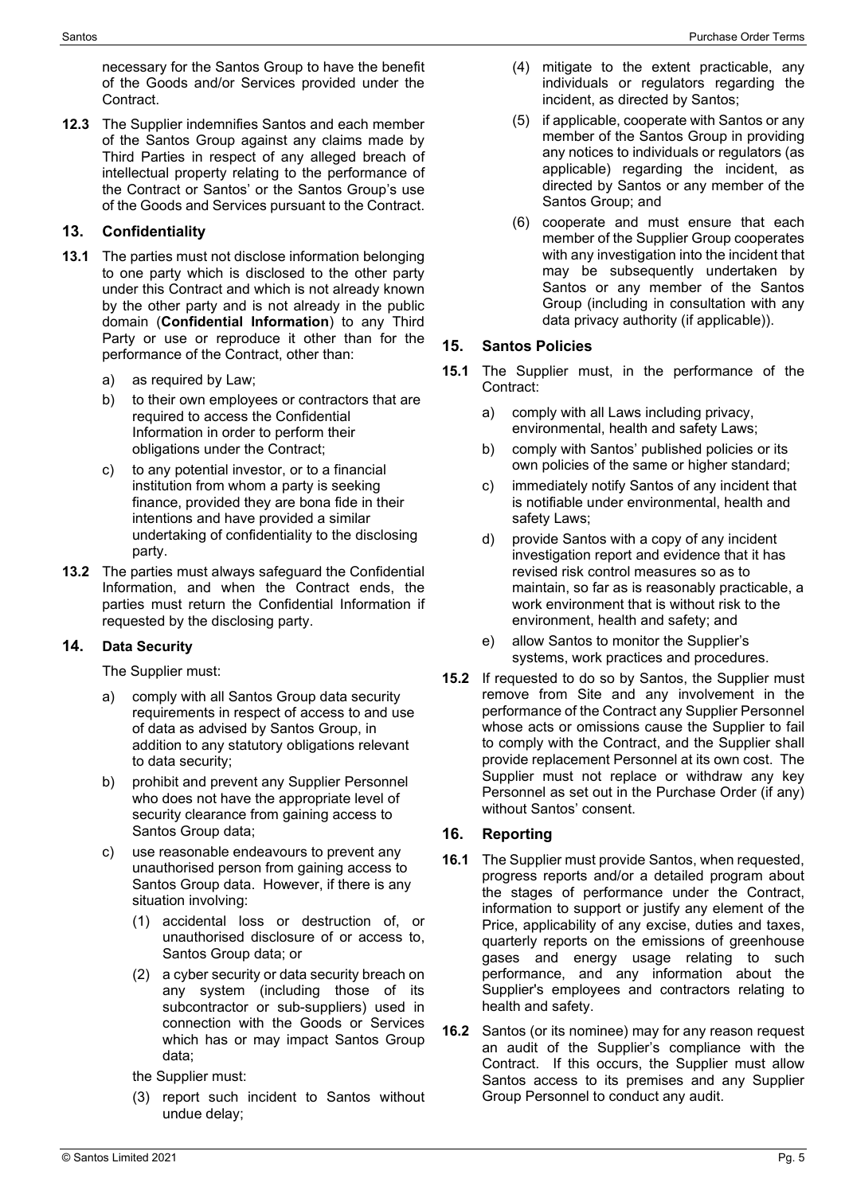**12.3** The Supplier indemnifies Santos and each member of the Santos Group against any claims made by Third Parties in respect of any alleged breach of intellectual property relating to the performance of the Contract or Santos' or the Santos Group's use of the Goods and Services pursuant to the Contract.

## **13. Confidentiality**

- **13.1** The parties must not disclose information belonging to one party which is disclosed to the other party under this Contract and which is not already known by the other party and is not already in the public domain (**Confidential Information**) to any Third Party or use or reproduce it other than for the performance of the Contract, other than:
	- a) as required by Law;
	- b) to their own employees or contractors that are required to access the Confidential Information in order to perform their obligations under the Contract;
	- c) to any potential investor, or to a financial institution from whom a party is seeking finance, provided they are bona fide in their intentions and have provided a similar undertaking of confidentiality to the disclosing party.
- **13.2** The parties must always safeguard the Confidential Information, and when the Contract ends, the parties must return the Confidential Information if requested by the disclosing party.

### **14. Data Security**

The Supplier must:

- a) comply with all Santos Group data security requirements in respect of access to and use of data as advised by Santos Group, in addition to any statutory obligations relevant to data security;
- b) prohibit and prevent any Supplier Personnel who does not have the appropriate level of security clearance from gaining access to Santos Group data;
- c) use reasonable endeavours to prevent any unauthorised person from gaining access to Santos Group data. However, if there is any situation involving:
	- (1) accidental loss or destruction of, or unauthorised disclosure of or access to, Santos Group data; or
	- (2) a cyber security or data security breach on any system (including those of its subcontractor or sub-suppliers) used in connection with the Goods or Services which has or may impact Santos Group data;
	- the Supplier must:
	- (3) report such incident to Santos without undue delay;
- (4) mitigate to the extent practicable, any individuals or regulators regarding the incident, as directed by Santos;
- (5) if applicable, cooperate with Santos or any member of the Santos Group in providing any notices to individuals or regulators (as applicable) regarding the incident, as directed by Santos or any member of the Santos Group; and
- (6) cooperate and must ensure that each member of the Supplier Group cooperates with any investigation into the incident that may be subsequently undertaken by Santos or any member of the Santos Group (including in consultation with any data privacy authority (if applicable)).

### **15. Santos Policies**

- **15.1** The Supplier must, in the performance of the Contract:
	- a) comply with all Laws including privacy, environmental, health and safety Laws;
	- b) comply with Santos' published policies or its own policies of the same or higher standard;
	- c) immediately notify Santos of any incident that is notifiable under environmental, health and safety Laws;
	- d) provide Santos with a copy of any incident investigation report and evidence that it has revised risk control measures so as to maintain, so far as is reasonably practicable, a work environment that is without risk to the environment, health and safety; and
	- e) allow Santos to monitor the Supplier's systems, work practices and procedures.
- **15.2** If requested to do so by Santos, the Supplier must remove from Site and any involvement in the performance of the Contract any Supplier Personnel whose acts or omissions cause the Supplier to fail to comply with the Contract, and the Supplier shall provide replacement Personnel at its own cost. The Supplier must not replace or withdraw any key Personnel as set out in the Purchase Order (if any) without Santos' consent.

# **16. Reporting**

- **16.1** The Supplier must provide Santos, when requested, progress reports and/or a detailed program about the stages of performance under the Contract, information to support or justify any element of the Price, applicability of any excise, duties and taxes, quarterly reports on the emissions of greenhouse gases and energy usage relating to such performance, and any information about the Supplier's employees and contractors relating to health and safety.
- **16.2** Santos (or its nominee) may for any reason request an audit of the Supplier's compliance with the Contract. If this occurs, the Supplier must allow Santos access to its premises and any Supplier Group Personnel to conduct any audit.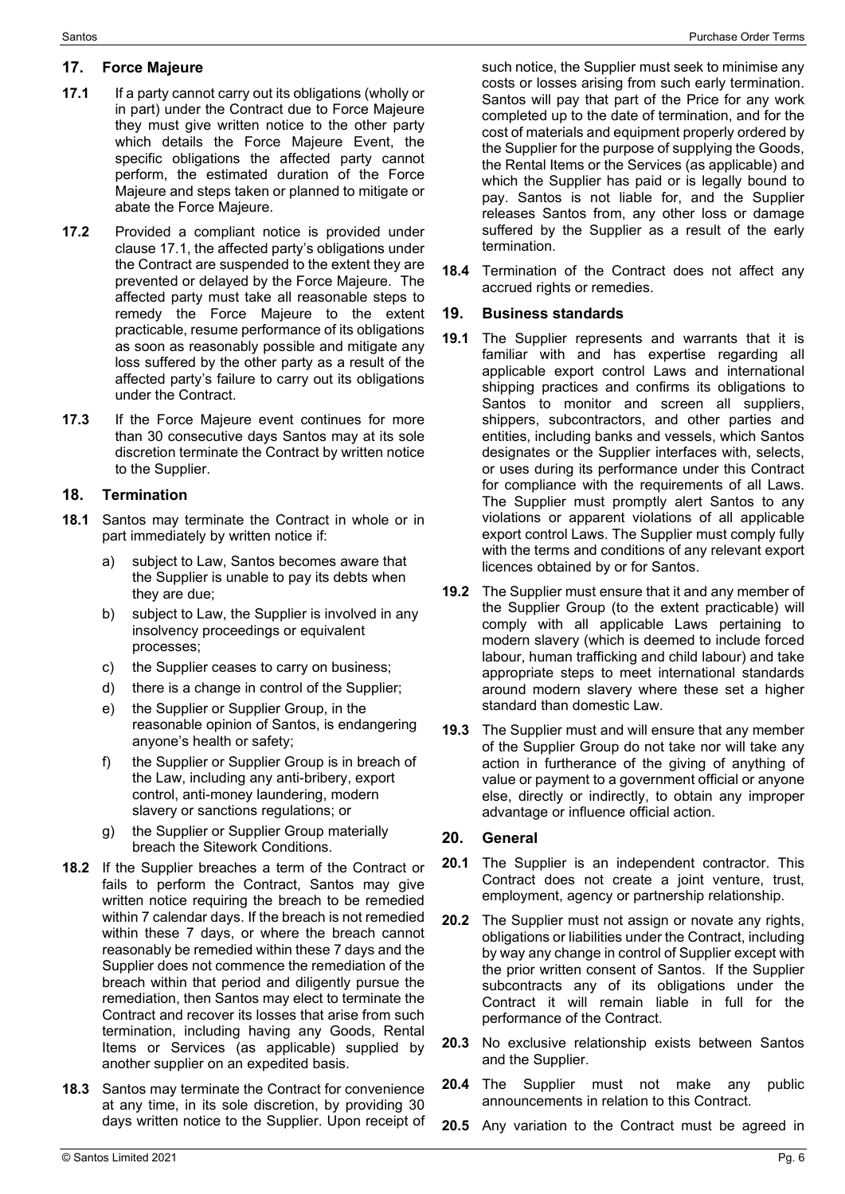#### **17. Force Majeure**

- **17.1** If a party cannot carry out its obligations (wholly or in part) under the Contract due to Force Majeure they must give written notice to the other party which details the Force Majeure Event, the specific obligations the affected party cannot perform, the estimated duration of the Force Majeure and steps taken or planned to mitigate or abate the Force Majeure.
- **17.2** Provided a compliant notice is provided under clause 17.1, the affected party's obligations under the Contract are suspended to the extent they are prevented or delayed by the Force Majeure. The affected party must take all reasonable steps to remedy the Force Majeure to the extent practicable, resume performance of its obligations as soon as reasonably possible and mitigate any loss suffered by the other party as a result of the affected party's failure to carry out its obligations under the Contract.
- **17.3** If the Force Majeure event continues for more than 30 consecutive days Santos may at its sole discretion terminate the Contract by written notice to the Supplier.

#### **18. Termination**

- **18.1** Santos may terminate the Contract in whole or in part immediately by written notice if:
	- a) subject to Law, Santos becomes aware that the Supplier is unable to pay its debts when they are due;
	- b) subject to Law, the Supplier is involved in any insolvency proceedings or equivalent processes;
	- c) the Supplier ceases to carry on business;
	- d) there is a change in control of the Supplier;
	- e) the Supplier or Supplier Group, in the reasonable opinion of Santos, is endangering anyone's health or safety;
	- f) the Supplier or Supplier Group is in breach of the Law, including any anti-bribery, export control, anti-money laundering, modern slavery or sanctions regulations; or
	- g) the Supplier or Supplier Group materially breach the Sitework Conditions.
- **18.2** If the Supplier breaches a term of the Contract or fails to perform the Contract, Santos may give written notice requiring the breach to be remedied within 7 calendar days. If the breach is not remedied within these 7 days, or where the breach cannot reasonably be remedied within these 7 days and the Supplier does not commence the remediation of the breach within that period and diligently pursue the remediation, then Santos may elect to terminate the Contract and recover its losses that arise from such termination, including having any Goods, Rental Items or Services (as applicable) supplied by another supplier on an expedited basis.
- **18.3** Santos may terminate the Contract for convenience at any time, in its sole discretion, by providing 30 days written notice to the Supplier. Upon receipt of

such notice, the Supplier must seek to minimise any costs or losses arising from such early termination. Santos will pay that part of the Price for any work completed up to the date of termination, and for the cost of materials and equipment properly ordered by the Supplier for the purpose of supplying the Goods, the Rental Items or the Services (as applicable) and which the Supplier has paid or is legally bound to pay. Santos is not liable for, and the Supplier releases Santos from, any other loss or damage suffered by the Supplier as a result of the early termination.

**18.4** Termination of the Contract does not affect any accrued rights or remedies.

#### **19. Business standards**

- **19.1** The Supplier represents and warrants that it is familiar with and has expertise regarding all applicable export control Laws and international shipping practices and confirms its obligations to Santos to monitor and screen all suppliers, shippers, subcontractors, and other parties and entities, including banks and vessels, which Santos designates or the Supplier interfaces with, selects, or uses during its performance under this Contract for compliance with the requirements of all Laws. The Supplier must promptly alert Santos to any violations or apparent violations of all applicable export control Laws. The Supplier must comply fully with the terms and conditions of any relevant export licences obtained by or for Santos.
- **19.2** The Supplier must ensure that it and any member of the Supplier Group (to the extent practicable) will comply with all applicable Laws pertaining to modern slavery (which is deemed to include forced labour, human trafficking and child labour) and take appropriate steps to meet international standards around modern slavery where these set a higher standard than domestic Law.
- **19.3** The Supplier must and will ensure that any member of the Supplier Group do not take nor will take any action in furtherance of the giving of anything of value or payment to a government official or anyone else, directly or indirectly, to obtain any improper advantage or influence official action.

#### **20. General**

- **20.1** The Supplier is an independent contractor. This Contract does not create a joint venture, trust, employment, agency or partnership relationship.
- **20.2** The Supplier must not assign or novate any rights, obligations or liabilities under the Contract, including by way any change in control of Supplier except with the prior written consent of Santos. If the Supplier subcontracts any of its obligations under the Contract it will remain liable in full for the performance of the Contract.
- **20.3** No exclusive relationship exists between Santos and the Supplier.
- **20.4** The Supplier must not make any public announcements in relation to this Contract.
- **20.5** Any variation to the Contract must be agreed in